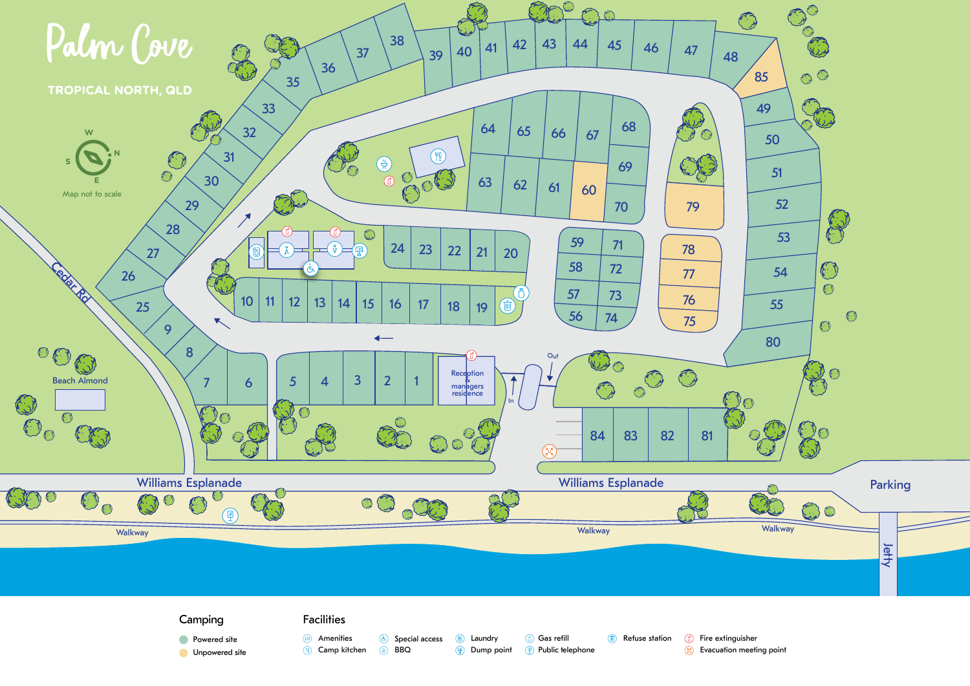